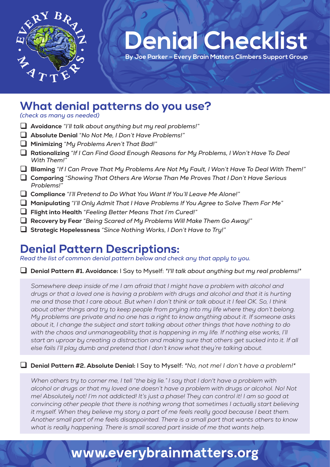

# **Denial Checklist**

**Denial Check** 

 **By Joe Parker – Every Brain Matters Climbers Support Group**

### **What denial patterns do you use?**

*(check as many as needed)*

- **Avoidance** *"I'll talk about anything but my real problems!"*
- **Absolute Denial** *"No Not Me, I Don't Have Problems!"*
- **Minimizing** *"My Problems Aren't That Bad!"*
- **Rationalizing** *"If I Can Find Good Enough Reasons for My Problems, I Won't Have To Deal With Them!"*
- **Blaming** *"If I Can Prove That My Problems Are Not My Fault, I Won't Have To Deal With Them!"*
- **Comparing** *"Showing That Others Are Worse Than Me Proves That I Don't Have Serious Problems!"*
- **Compliance** *"I'll Pretend to Do What You Want If You'll Leave Me Alone!"*
- **Manipulating** *"I'll Only Admit That I Have Problems If You Agree to Solve Them For Me"*
- **Flight into Health** *"Feeling Better Means That I'm Cured!"*
- **Recovery by Fear** *"Being Scared of My Problems Will Make Them Go Away!"*
- **Strategic Hopelessness** *"Since Nothing Works, I Don't Have to Try!"*

### **Denial Pattern Descriptions:**

*Read the list of common denial pattern below and check any that apply to you.*

#### **Denial Pattern #1. Avoidance:** I Say to Myself: *"I'll talk about anything but my real problems!"*

Somewhere deep inside of me I am afraid that I might have a problem with alcohol and *drugs or that a loved one is having a problem with drugs and alcohol and that it is hurting me and those that I care about. But when I don't think or talk about it I feel OK. So, I think about other things and try to keep people from prying into my life where they don't belong. My problems are private and no one has a right to know anything about it. If someone asks about it, I change the subject and start talking about other things that have nothing to do*  with the chaos and unmanageability that is happening in my life. If nothing else works, I'll *start an uproar by creating a distraction and making sure that others get sucked into it. If all else fails I'll play dumb and pretend that I don't know what they're talking about.*

#### **Denial Pattern #2. Absolute Denial:** I Say to Myself: *"No, not me! I don't have a problem!"*

*When others try to corner me, I tell "the big lie." I say that I don't have a problem with alcohol or drugs or that my loved one doesn't have a problem with drugs or alcohol. No! Not me! Absolutely not! I'm not addicted! It's just a phase! They can control it! I am so good at convincing other people that there is nothing wrong that sometimes I actually start believing*  it myself. When they believe my story a part of me feels really good because I beat them. *Another small part of me feels disappointed. There is a small part that wants others to know what is really happening. There is small scared part inside of me that wants help.*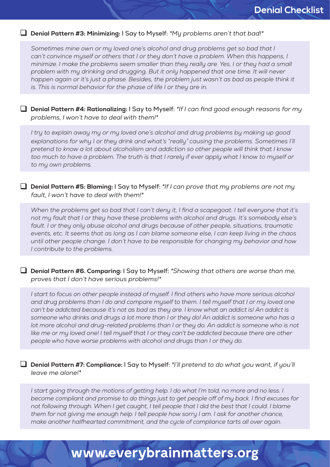**Denial Pattern #3: Minimizing:** I Say to Myself: *"My problems aren't that bad!"*

*Sometimes mine own or my loved one's alcohol and drug problems get so bad that I*  can't convince myself or others that I or they don't have a problem. When this happens, I *minimize. I make the problems seem smaller than they really are. Yes, I or they had a small problem with my drinking and drugging. But it only happened that one time. It will never*  happen again or it's just a phase. Besides, the problem just wasn't as bad as people think it *is. This is normal behavior for the phase of life I or they are in.*

 **Denial Pattern #4: Rationalizing:** I Say to Myself: *"If I can find good enough reasons for my problems, I won't have to deal with them!"*

*I try to explain away my or my loved one's alcohol and drug problems by making up good explanations for why I or they drink and what's "really" causing the problems. Sometimes I'll pretend to know a lot about alcoholism and addiction so other people will think that I know too much to have a problem. The truth is that I rarely if ever apply what I know to myself or to my own problems.*

 **Denial Pattern #5: Blaming:** I Say to Myself: *"If I can prove that my problems are not my fault, I won't have to deal with them!"*

*When the problems get so bad that I can't deny it, I find a scapegoat. I tell everyone that it's not my fault that I or they have these problems with alcohol and drugs. It's somebody else's*  fault. I or they only abuse alcohol and drugs because of other people, situations, traumatic *events, etc. It seems that as long as I can blame someone else, I can keep living in the chaos until other people change. I don't have to be responsible for changing my behavior and how I contribute to the problems.*

 **Denial Pattern #6. Comparing:** I Say to Myself: *"Showing that others are worse than me, proves that I don't have serious problems!"*

*I* start to focus on other people instead of myself. I find others who have more serious alcohol *and drug problems than I do and compare myself to them. I tell myself that I or my loved one*  can't be addicted because it's not as bad as they are. I know what an addict is! An addict is *someone who drinks and drugs a lot more than I or they do! An addict is someone who has a*  lot more alcohol and drug-related problems than I or they do. An addict is someone who is not like me or my loved one! I tell myself that I or they can't be addicted because there are other *people who have worse problems with alcohol and drugs than I or they do.*

 **Denial Pattern #7: Compliance:** I Say to Myself: *"I'll pretend to do what you want, if you'll leave me alone!"*

I start going through the motions of getting help. I do what I'm told, no more and no less. I *become compliant and promise to do things just to get people off of my back. I find excuses for*  not following through. When I get caught, I tell people that I did the best that I could. I blame *them for not giving me enough help. I tell people how sorry I am. I ask for another chance, make another halfhearted commitment, and the cycle of compliance tarts all over again.*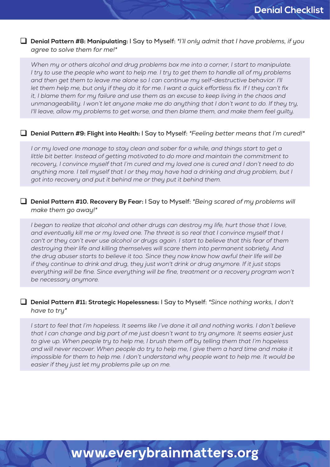#### **Denial Pattern #8: Manipulating:** I Say to Myself: *"I'll only admit that I have problems, if you agree to solve them for me!"*

*When my or others alcohol and drug problems box me into a corner, I start to manipulate. I try to use the people who want to help me. I try to get them to handle all of my problems and then get them to leave me alone so I can continue my self-destructive behavior. I'll let them help me, but only if they do it for me. I want a quick effortless fix. If I they can't fix it, I blame them for my failure and use them as an excuse to keep living in the chaos and unmanageability. I won't let anyone make me do anything that I don't want to do. If they try, I'll leave, allow my problems to get worse, and then blame them, and make them feel guilty.*

#### **Denial Pattern #9: Flight into Health:** I Say to Myself: *"Feeling better means that I'm cured!"*

*I or my loved one manage to stay clean and sober for a while, and things start to get a little bit better. Instead of getting motivated to do more and maintain the commitment to recovery, I convince myself that I'm cured and my loved one is cured and I don't need to do anything more. I tell myself that I or they may have had a drinking and drug problem, but I got into recovery and put it behind me or they put it behind them.*

#### **Denial Pattern #10. Recovery By Fear:** I Say to Myself: *"Being scared of my problems will make them go away!"*

*I began to realize that alcohol and other drugs can destroy my life, hurt those that I love,*  and eventually kill me or my loved one. The threat is so real that I convince myself that I can't or they can't ever use alcohol or drugs again. I start to believe that this fear of them *destroying their life and killing themselves will scare them into permanent sobriety. And the drug abuser starts to believe it too. Since they now know how awful their life will be if they continue to drink and drug, they just won't drink or drug anymore. If it just stops everything will be fine. Since everything will be fine, treatment or a recovery program won't be necessary anymore.*

#### **Denial Pattern #11: Strategic Hopelessness:** I Say to Myself: *"Since nothing works, I don't have to try"*

I start to feel that I'm hopeless. It seems like I've done it all and nothing works. I don't believe *that I can change and big part of me just doesn't want to try anymore. It seems easier just to give up. When people try to help me, I brush them off by telling them that I'm hopeless and will never recover. When people do try to help me, I give them a hard time and make it*  impossible for them to help me. I don't understand why people want to help me. It would be *easier if they just let my problems pile up on me.*